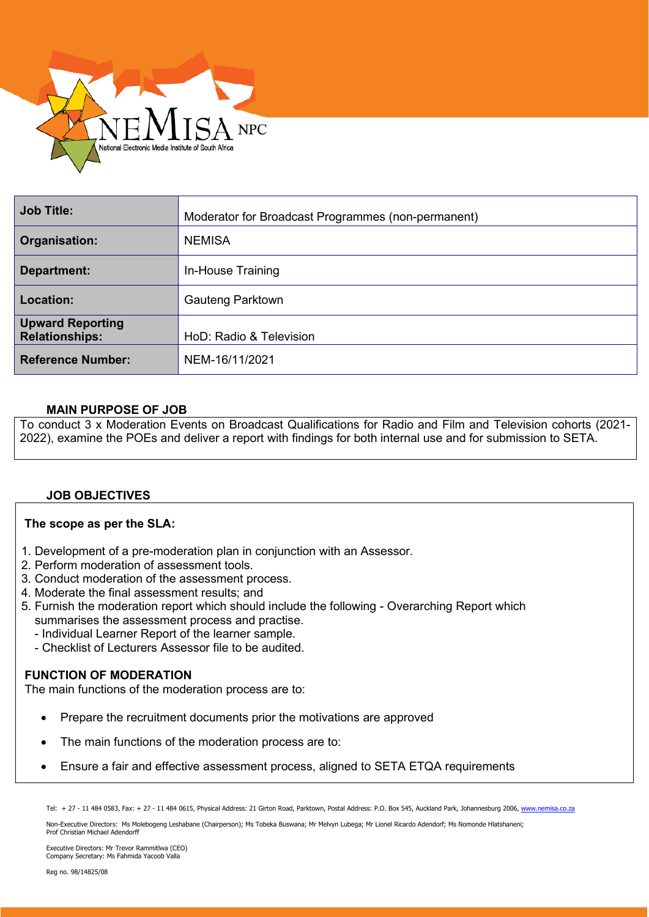

| <b>Job Title:</b>                                | Moderator for Broadcast Programmes (non-permanent) |
|--------------------------------------------------|----------------------------------------------------|
| Organisation:                                    | <b>NEMISA</b>                                      |
| Department:                                      | In-House Training                                  |
| Location:                                        | <b>Gauteng Parktown</b>                            |
| <b>Upward Reporting</b><br><b>Relationships:</b> | HoD: Radio & Television                            |
| <b>Reference Number:</b>                         | NEM-16/11/2021                                     |

## **MAIN PURPOSE OF JOB**

To conduct 3 x Moderation Events on Broadcast Qualifications for Radio and Film and Television cohorts (2021- 2022), examine the POEs and deliver a report with findings for both internal use and for submission to SETA.

## **JOB OBJECTIVES**

## **The scope as per the SLA:**

- 1. Development of a pre-moderation plan in conjunction with an Assessor.
- 2. Perform moderation of assessment tools.
- 3. Conduct moderation of the assessment process.
- 4. Moderate the final assessment results; and
- 5. Furnish the moderation report which should include the following Overarching Report which summarises the assessment process and practise.
	- Individual Learner Report of the learner sample.
	- Checklist of Lecturers Assessor file to be audited.

#### **FUNCTION OF MODERATION**

The main functions of the moderation process are to:

- Prepare the recruitment documents prior the motivations are approved
- The main functions of the moderation process are to:
- Ensure a fair and effective assessment process, aligned to SETA ETQA requirements

Tel: + 27 - 11 484 0583, Fax: + 27 - 11 484 0615, Physical Address: 21 Girton Road, Parktown, Postal Address: P.O. Box 545, Auckland Park, Johannesburg 2006[, www.nemisa.co.za](http://www.nemisa.co.za/)

Non-Executive Directors: Ms Molebogeng Leshabane (Chairperson); Ms Tobeka Buswana; Mr Melvyn Lubega; Mr Lionel Ricardo Adendorf; Ms Nomonde Hlatshaneni;<br>Prof Christian Michael Adendorff

Executive Directors: Mr Trevor Rammitlwa (CEO) Company Secretary: Ms Fahmida Yacoob Valla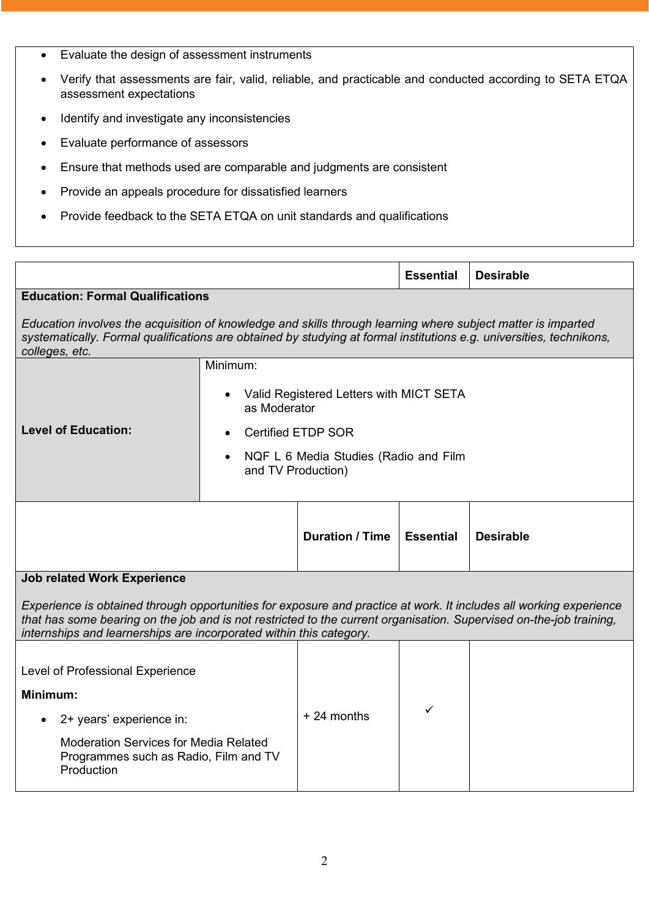- Evaluate the design of assessment instruments
- Verify that assessments are fair, valid, reliable, and practicable and conducted according to SETA ETQA assessment expectations
- Identify and investigate any inconsistencies
- Evaluate performance of assessors
- Ensure that methods used are comparable and judgments are consistent
- Provide an appeals procedure for dissatisfied learners
- Provide feedback to the SETA ETQA on unit standards and qualifications

|                                         | <b>Essential</b> | <b>Desirable</b> |
|-----------------------------------------|------------------|------------------|
| <b>Education: Formal Qualifications</b> |                  |                  |

*Education involves the acquisition of knowledge and skills through learning where subject matter is imparted systematically. Formal qualifications are obtained by studying at formal institutions e.g. universities, technikons, colleges, etc.*

| - - - - - - - - - - - - - -<br><b>Level of Education:</b> | Minimum:<br>Valid Registered Letters with MICT SETA<br>$\bullet$<br>as Moderator<br>• Certified ETDP SOR<br>• NQF L 6 Media Studies (Radio and Film<br>and TV Production) |                        |                  |                  |
|-----------------------------------------------------------|---------------------------------------------------------------------------------------------------------------------------------------------------------------------------|------------------------|------------------|------------------|
| leb related Werk Evresiance                               |                                                                                                                                                                           | <b>Duration / Time</b> | <b>Essential</b> | <b>Desirable</b> |

## **Job related Work Experience**

*Experience is obtained through opportunities for exposure and practice at work. It includes all working experience that has some bearing on the job and is not restricted to the current organisation. Supervised on-the-job training, internships and learnerships are incorporated within this category.*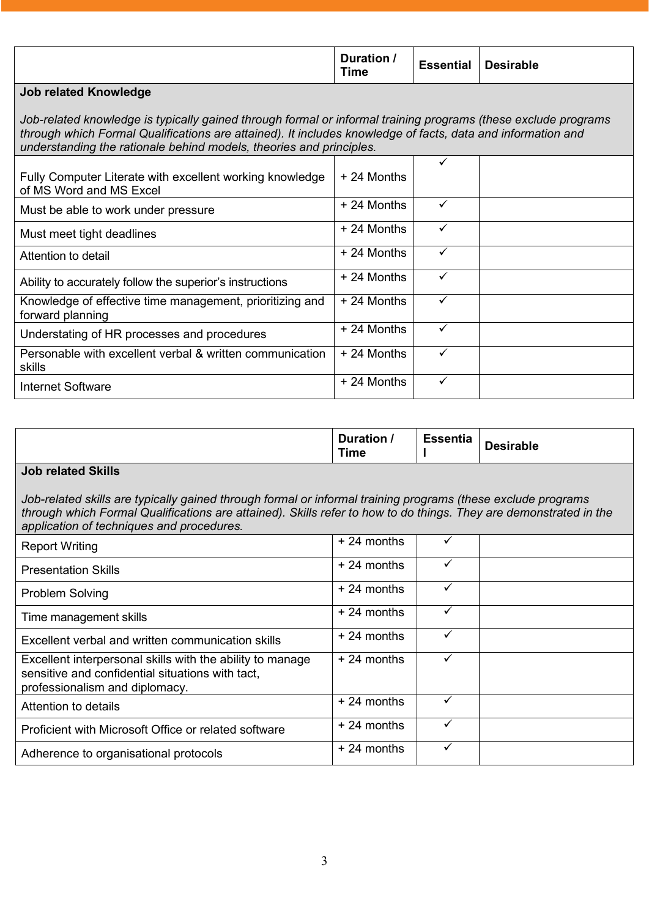|  | Duration /<br>Time | <b>Essential</b> | <b>Desirable</b> |
|--|--------------------|------------------|------------------|
|--|--------------------|------------------|------------------|

# **Job related Knowledge**

*Job-related knowledge is typically gained through formal or informal training programs (these exclude programs through which Formal Qualifications are attained). It includes knowledge of facts, data and information and understanding the rationale behind models, theories and principles.*

|                                                                                     |              | ✓ |  |
|-------------------------------------------------------------------------------------|--------------|---|--|
| Fully Computer Literate with excellent working knowledge<br>of MS Word and MS Excel | $+24$ Months |   |  |
| Must be able to work under pressure                                                 | $+24$ Months |   |  |
| Must meet tight deadlines                                                           | + 24 Months  | ✓ |  |
| Attention to detail                                                                 | + 24 Months  | ✓ |  |
| Ability to accurately follow the superior's instructions                            | + 24 Months  | ✓ |  |
| Knowledge of effective time management, prioritizing and<br>forward planning        | + 24 Months  | ✓ |  |
| Understating of HR processes and procedures                                         | + 24 Months  | ✓ |  |
| Personable with excellent verbal & written communication<br>skills                  | + 24 Months  |   |  |
| Internet Software                                                                   | + 24 Months  | ✓ |  |

|                                                                                                                                                                                                                                                                                | Duration /<br>Time | <b>Essentia</b> | <b>Desirable</b> |
|--------------------------------------------------------------------------------------------------------------------------------------------------------------------------------------------------------------------------------------------------------------------------------|--------------------|-----------------|------------------|
| <b>Job related Skills</b>                                                                                                                                                                                                                                                      |                    |                 |                  |
| Job-related skills are typically gained through formal or informal training programs (these exclude programs<br>through which Formal Qualifications are attained). Skills refer to how to do things. They are demonstrated in the<br>application of techniques and procedures. |                    |                 |                  |
| <b>Report Writing</b>                                                                                                                                                                                                                                                          | $+24$ months       | ✓               |                  |
| <b>Presentation Skills</b>                                                                                                                                                                                                                                                     | $+24$ months       | ✓               |                  |
| <b>Problem Solving</b>                                                                                                                                                                                                                                                         | $+24$ months       | ✓               |                  |
| Time management skills                                                                                                                                                                                                                                                         | $+24$ months       | $\checkmark$    |                  |
| Excellent verbal and written communication skills                                                                                                                                                                                                                              | $+24$ months       | ✓               |                  |
| Excellent interpersonal skills with the ability to manage<br>sensitive and confidential situations with tact,<br>professionalism and diplomacy.                                                                                                                                | $+24$ months       | ✓               |                  |
| Attention to details                                                                                                                                                                                                                                                           | $+24$ months       | ✓               |                  |
| Proficient with Microsoft Office or related software                                                                                                                                                                                                                           | $+24$ months       | $\checkmark$    |                  |
| Adherence to organisational protocols                                                                                                                                                                                                                                          | $+24$ months       | $\checkmark$    |                  |